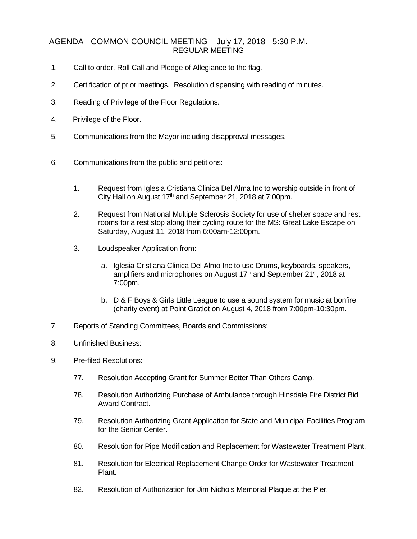## AGENDA - COMMON COUNCIL MEETING – July 17, 2018 - 5:30 P.M. REGULAR MEETING

- 1. Call to order, Roll Call and Pledge of Allegiance to the flag.
- 2. Certification of prior meetings. Resolution dispensing with reading of minutes.
- 3. Reading of Privilege of the Floor Regulations.
- 4. Privilege of the Floor.
- 5. Communications from the Mayor including disapproval messages.
- 6. Communications from the public and petitions:
	- 1. Request from Iglesia Cristiana Clinica Del Alma Inc to worship outside in front of City Hall on August  $17<sup>th</sup>$  and September 21, 2018 at 7:00pm.
	- 2. Request from National Multiple Sclerosis Society for use of shelter space and rest rooms for a rest stop along their cycling route for the MS: Great Lake Escape on Saturday, August 11, 2018 from 6:00am-12:00pm.
	- 3. Loudspeaker Application from:
		- a. Iglesia Cristiana Clinica Del Almo Inc to use Drums, keyboards, speakers, amplifiers and microphones on August  $17<sup>th</sup>$  and September 21 $<sup>st</sup>$ , 2018 at</sup> 7:00pm.
		- b. D & F Boys & Girls Little League to use a sound system for music at bonfire (charity event) at Point Gratiot on August 4, 2018 from 7:00pm-10:30pm.
- 7. Reports of Standing Committees, Boards and Commissions:
- 8. Unfinished Business:
- 9. Pre-filed Resolutions:
	- 77. Resolution Accepting Grant for Summer Better Than Others Camp.
	- 78. Resolution Authorizing Purchase of Ambulance through Hinsdale Fire District Bid Award Contract.
	- 79. Resolution Authorizing Grant Application for State and Municipal Facilities Program for the Senior Center.
	- 80. Resolution for Pipe Modification and Replacement for Wastewater Treatment Plant.
	- 81. Resolution for Electrical Replacement Change Order for Wastewater Treatment Plant.
	- 82. Resolution of Authorization for Jim Nichols Memorial Plaque at the Pier.